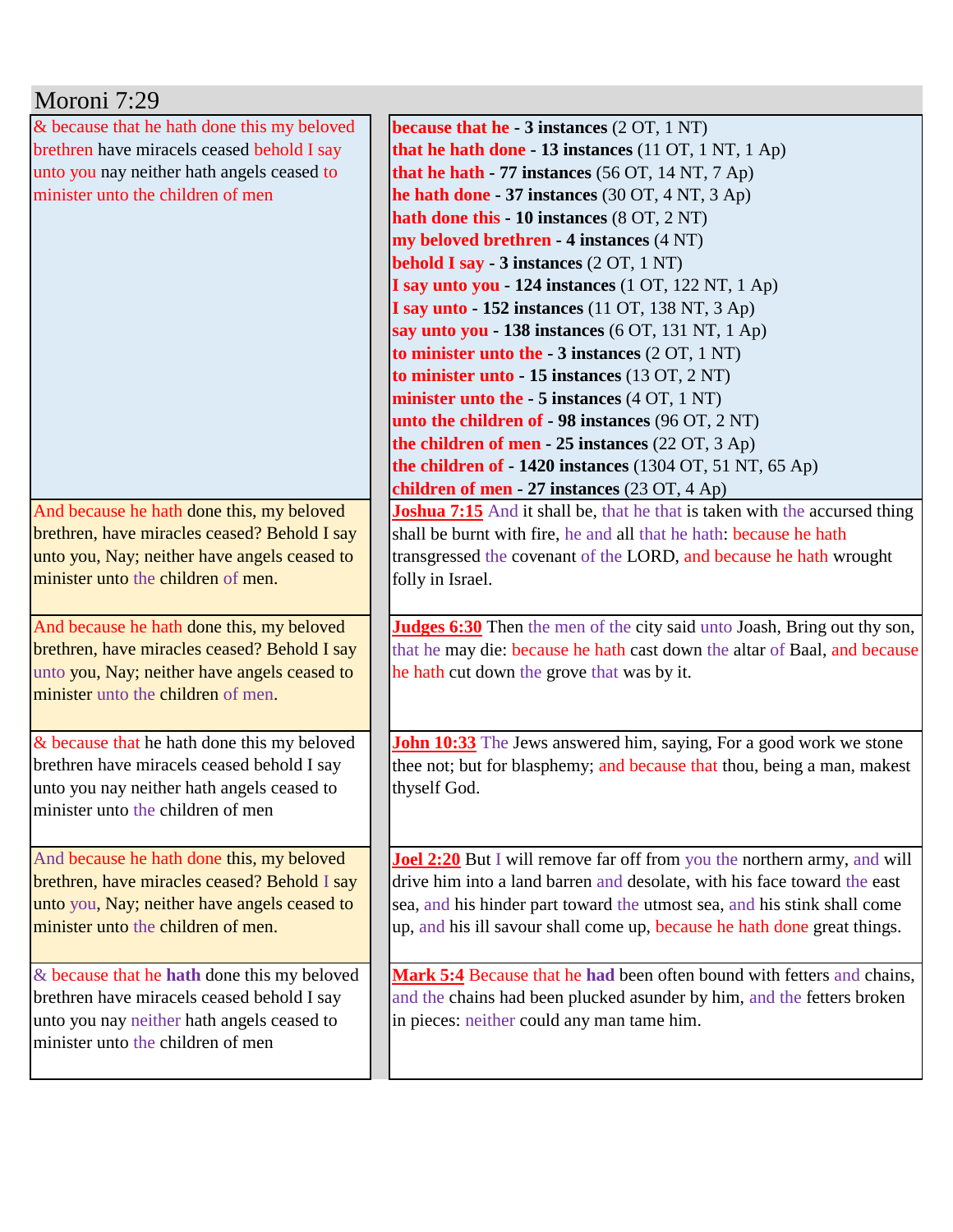| Moroni 7:29                                  |                                                                                   |
|----------------------------------------------|-----------------------------------------------------------------------------------|
| & because that he hath done this my beloved  | because that he $-3$ instances $(2 OT, 1 NT)$                                     |
| brethren have miracels ceased behold I say   | that he hath done - 13 instances $(11 OT, 1 NT, 1 Ap)$                            |
| unto you nay neither hath angels ceased to   | that he hath $-77$ instances (56 OT, 14 NT, 7 Ap)                                 |
| minister unto the children of men            | he hath done - 37 instances $(30 OT, 4 NT, 3 Ap)$                                 |
|                                              | hath done this - 10 instances (8 OT, 2 NT)                                        |
|                                              | my beloved brethren - 4 instances (4 NT)                                          |
|                                              | behold I say - 3 instances (2 OT, 1 NT)                                           |
|                                              | I say unto you - 124 instances (1 OT, 122 NT, 1 Ap)                               |
|                                              | <b>I say unto - 152 instances</b> (11 OT, 138 NT, 3 Ap)                           |
|                                              | say unto you - 138 instances $(6 OT, 131 NT, 1 Ap)$                               |
|                                              | to minister unto the $-3$ instances $(2 OT, 1 NT)$                                |
|                                              | to minister unto - 15 instances (13 OT, 2 NT)                                     |
|                                              | minister unto the $-5$ instances $(4 \text{ OT}, 1 \text{ NT})$                   |
|                                              | unto the children of - 98 instances (96 OT, 2 NT)                                 |
|                                              | the children of men - 25 instances $(22 \text{ OT}, 3 \text{ Ap})$                |
|                                              | the children of $-1420$ instances (1304 OT, 51 NT, 65 Ap)                         |
|                                              | children of men - 27 instances (23 OT, 4 Ap)                                      |
| And because he hath done this, my beloved    | <b>Joshua 7:15</b> And it shall be, that he that is taken with the accursed thing |
| brethren, have miracles ceased? Behold I say | shall be burnt with fire, he and all that he hath: because he hath                |
| unto you, Nay; neither have angels ceased to | transgressed the covenant of the LORD, and because he hath wrought                |
| minister unto the children of men.           | folly in Israel.                                                                  |
|                                              |                                                                                   |
| And because he hath done this, my beloved    | Judges 6:30 Then the men of the city said unto Joash, Bring out thy son,          |
| brethren, have miracles ceased? Behold I say | that he may die: because he hath cast down the altar of Baal, and because         |
| unto you, Nay; neither have angels ceased to | he hath cut down the grove that was by it.                                        |
| minister unto the children of men.           |                                                                                   |
|                                              |                                                                                   |
| & because that he hath done this my beloved  | John 10:33 The Jews answered him, saying, For a good work we stone                |
| brethren have miracels ceased behold I say   | thee not; but for blasphemy; and because that thou, being a man, makest           |
| unto you nay neither hath angels ceased to   | thyself God.                                                                      |
| minister unto the children of men            |                                                                                   |
|                                              |                                                                                   |
| And because he hath done this, my beloved    | <b>Joel 2:20</b> But I will remove far off from you the northern army, and will   |
| brethren, have miracles ceased? Behold I say | drive him into a land barren and desolate, with his face toward the east          |
| unto you, Nay; neither have angels ceased to | sea, and his hinder part toward the utmost sea, and his stink shall come          |
| minister unto the children of men.           | up, and his ill savour shall come up, because he hath done great things.          |
|                                              |                                                                                   |
| & because that he hath done this my beloved  | Mark 5:4 Because that he had been often bound with fetters and chains,            |
| brethren have miracels ceased behold I say   | and the chains had been plucked asunder by him, and the fetters broken            |
| unto you nay neither hath angels ceased to   | in pieces: neither could any man tame him.                                        |
| minister unto the children of men            |                                                                                   |
|                                              |                                                                                   |